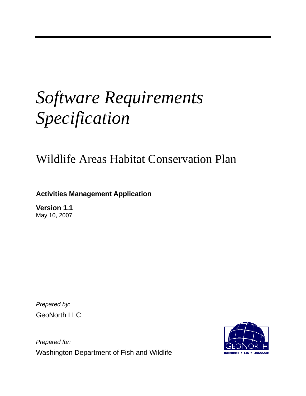# *Software Requirements Specification*

# Wildlife Areas Habitat Conservation Plan

# **Activities Management Application**

**Version 1.1**  May 10, 2007

*Prepared by:*  GeoNorth LLC

*Prepared for:*  Washington Department of Fish and Wildlife

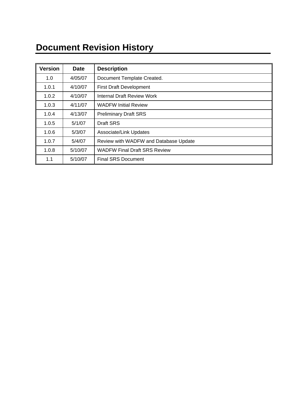# **Document Revision History**

| <b>Version</b> | <b>Date</b> | <b>Description</b>                    |
|----------------|-------------|---------------------------------------|
| 1.0            | 4/05/07     | Document Template Created.            |
| 1.0.1          | 4/10/07     | <b>First Draft Development</b>        |
| 1.0.2          | 4/10/07     | Internal Draft Review Work            |
| 1.0.3          | 4/11/07     | <b>WADFW Initial Review</b>           |
| 1.0.4          | 4/13/07     | <b>Preliminary Draft SRS</b>          |
| 1.0.5          | 5/1/07      | Draft SRS                             |
| 1.0.6          | 5/3/07      | Associate/Link Updates                |
| 1.0.7          | 5/4/07      | Review with WADFW and Database Update |
| 1.0.8          | 5/10/07     | <b>WADFW Final Draft SRS Review</b>   |
| 1.1            | 5/10/07     | <b>Final SRS Document</b>             |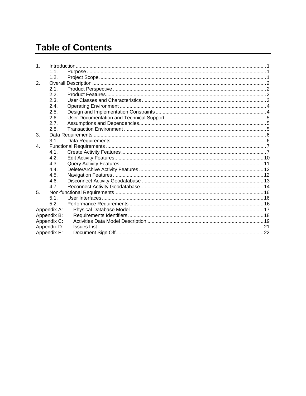# **Table of Contents**

| $\mathbf{1}$ . |             |  |
|----------------|-------------|--|
|                | 1.1.        |  |
|                | 1.2.        |  |
| 2.             |             |  |
|                | 2.1.        |  |
|                | 2.2.        |  |
|                | 2.3.        |  |
|                | 24          |  |
|                | 2.5.        |  |
|                | 26          |  |
|                | 2.7.        |  |
|                | 2.8.        |  |
| 3.             |             |  |
|                | 3.1.        |  |
| $\mathbf{4}$ . |             |  |
|                | 4.1.        |  |
|                | 4.2.        |  |
|                | 4.3.        |  |
|                | 4.4.        |  |
|                | 4.5.        |  |
|                | 4.6.        |  |
|                | 4.7.        |  |
| 5              |             |  |
|                | 5.1.        |  |
|                | 5.2.        |  |
|                | Appendix A: |  |
|                | Appendix B: |  |
|                | Appendix C: |  |
|                | Appendix D: |  |
|                | Appendix E: |  |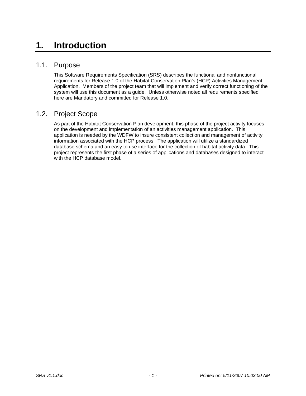# **1. Introduction**

### 1.1. Purpose

This Software Requirements Specification (SRS) describes the functional and nonfunctional requirements for Release 1.0 of the Habitat Conservation Plan's (HCP) Activities Management Application. Members of the project team that will implement and verify correct functioning of the system will use this document as a guide. Unless otherwise noted all requirements specified here are Mandatory and committed for Release 1.0.

# 1.2. Project Scope

As part of the Habitat Conservation Plan development, this phase of the project activity focuses on the development and implementation of an activities management application. This application is needed by the WDFW to insure consistent collection and management of activity information associated with the HCP process. The application will utilize a standardized database schema and an easy to use interface for the collection of habitat activity data. This project represents the first phase of a series of applications and databases designed to interact with the HCP database model.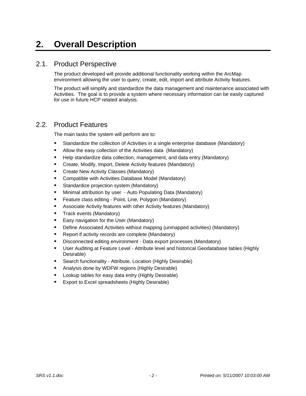# **2. Overall Description**

### 2.1. Product Perspective

The product developed will provide additional functionality working within the ArcMap environment allowing the user to query, create, edit, import and attribute Activity features.

The product will simplify and standardize the data management and maintenance associated with Activities. The goal is to provide a system where necessary information can be easily captured for use in future HCP related analysis.

### 2.2. Product Features

The main tasks the system will perform are to:

- Standardize the collection of Activities in a single enterprise database (Mandatory)
- Allow the easy collection of the Activities data (Mandatory)
- **Help standardize data collection, management, and data entry (Mandatory)**
- **E** Create, Modify, Import, Delete Activity features (Mandatory)
- **E** Create New Activity Classes (Mandatory)
- **Compatible with Activities Database Model (Mandatory)**
- **Standardize projection system (Mandatory)**
- **Minimal attribution by user Auto Populating Data (Mandatory)**
- **Feature class editing Point, Line, Polygon (Mandatory)**
- Associate Activity features with other Activity features (Mandatory)
- **Track events (Mandatory)**
- **Easy navigation for the User (Mandatory)**
- Define Associated Activities without mapping (unmapped activities) (Mandatory)
- **Report if activity records are complete (Mandatory)**
- **Disconnected editing environment Data export processes (Mandatory)**
- User Auditing at Feature Level Attribute level and historical Geodatabase tables (Highly Desirable)
- **Search functionality Attribute, Location (Highly Desirable)**
- **Analysis done by WDFW regions (Highly Desirable)**
- **Lookup tables for easy data entry (Highly Desirable)**
- **Export to Excel spreadsheets (Highly Desirable)**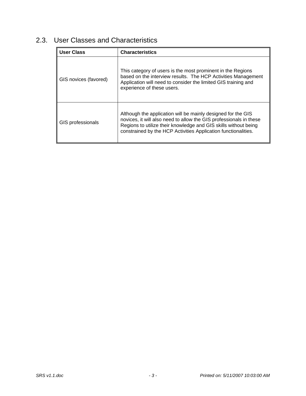| <b>User Class</b>     | <b>Characteristics</b>                                                                                                                                                                                                                                                  |
|-----------------------|-------------------------------------------------------------------------------------------------------------------------------------------------------------------------------------------------------------------------------------------------------------------------|
| GIS novices (favored) | This category of users is the most prominent in the Regions<br>based on the interview results. The HCP Activities Management<br>Application will need to consider the limited GIS training and<br>experience of these users.                                            |
| GIS professionals     | Although the application will be mainly designed for the GIS<br>novices, it will also need to allow the GIS professionals in these<br>Regions to utilize their knowledge and GIS skills without being<br>constrained by the HCP Activities Application functionalities. |

# 2.3. User Classes and Characteristics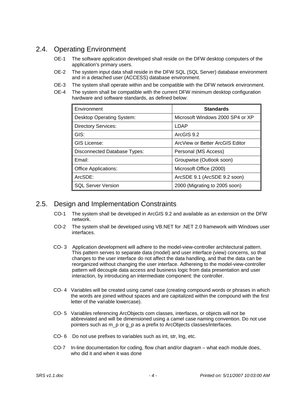# 2.4. Operating Environment

- OE-1 The software application developed shall reside on the DFW desktop computers of the application's primary users.
- OE-2 The system input data shall reside in the DFW SQL (SQL Server) database environment and in a detached user (ACCESS) database environment.
- OE-3 The system shall operate within and be compatible with the DFW network environment.
- OE-4 The system shall be compatible with the current DFW minimum desktop configuration hardware and software standards, as defined below:

| Environment                         | <b>Standards</b>                 |
|-------------------------------------|----------------------------------|
| Desktop Operating System:           | Microsoft Windows 2000 SP4 or XP |
| <b>Directory Services:</b>          | LDAP                             |
| GIS:                                | ArcGIS 9.2                       |
| <b>GIS License:</b>                 | ArcView or Better ArcGIS Editor  |
| <b>Disconnected Database Types:</b> | Personal (MS Access)             |
| Email:                              | Groupwise (Outlook soon)         |
| <b>Office Applications:</b>         | Microsoft Office (2000)          |
| ArcSDE:                             | ArcSDE 9.1 (ArcSDE 9.2 soon)     |
| <b>SQL Server Version</b>           | 2000 (Migrating to 2005 soon)    |

# 2.5. Design and Implementation Constraints

- CO-1 The system shall be developed in ArcGIS 9.2 and available as an extension on the DFW network.
- CO-2 The system shall be developed using VB.NET for .NET 2.0 framework with Windows user interfaces.
- CO- 3 Application development will adhere to the model-view-controller architectural pattern. This pattern serves to separate data (model) and user interface (view) concerns, so that changes to the user interface do not affect the data handling, and that the data can be reorganized without changing the user interface. Adhereing to the model-view-controller pattern will decouple data access and business logic from data presentation and user interaction, by introducing an intermediate component: the controller.
- CO- 4 Variables will be created using camel case (creating compound words or phrases in which the words are joined without spaces and are capitalized within the compound with the first letter of the variable lowercase).
- CO- 5 Variables referencing ArcObjects com classes, interfaces, or objects will not be abbreviated and will be dimensioned using a camel case naming convention. Do not use pointers such as m\_p or g\_p as a prefix to ArcObjects classes/interfaces.
- CO- 6 Do not use prefixes to variables such as int, str, lng, etc.
- CO-7 In-line documentation for coding, flow chart and/or diagram what each module does, who did it and when it was done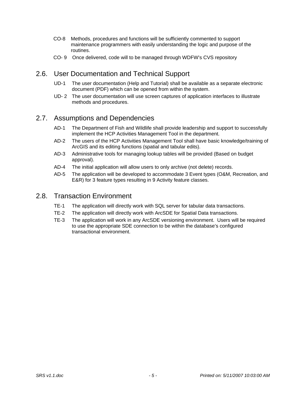- CO-8 Methods, procedures and functions will be sufficiently commented to support maintenance programmers with easily understanding the logic and purpose of the routines.
- CO- 9 Once delivered, code will to be managed through WDFW's CVS repository

# 2.6. User Documentation and Technical Support

- UD-1 The user documentation (Help and Tutorial) shall be available as a separate electronic document (PDF) which can be opened from within the system.
- UD- 2 The user documentation will use screen captures of application interfaces to illustrate methods and procedures.

### 2.7. Assumptions and Dependencies

- AD-1 The Department of Fish and Wildlife shall provide leadership and support to successfully implement the HCP Activities Management Tool in the department.
- AD-2 The users of the HCP Activities Management Tool shall have basic knowledge/training of ArcGIS and its editing functions (spatial and tabular edits).
- AD-3 Administrative tools for managing lookup tables will be provided (Based on budget approval).
- AD-4 The initial application will allow users to only archive (not delete) records.
- AD-5 The application will be developed to accommodate 3 Event types (O&M, Recreation, and E&R) for 3 feature types resulting in 9 Activity feature classes.

### 2.8. Transaction Environment

- TE-1 The application will directly work with SQL server for tabular data transactions.
- TE-2 The application will directly work with ArcSDE for Spatial Data transactions.
- TE-3 The application will work in any ArcSDE versioning environment. Users will be required to use the appropriate SDE connection to be within the database's configured transactional environment.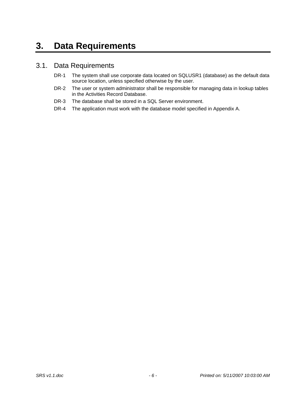# **3. Data Requirements**

### 3.1. Data Requirements

- DR-1 The system shall use corporate data located on SQLUSR1 (database) as the default data source location, unless specified otherwise by the user.
- DR-2 The user or system administrator shall be responsible for managing data in lookup tables in the Activities Record Database.
- DR-3 The database shall be stored in a SQL Server environment.
- DR-4 The application must work with the database model specified in Appendix A.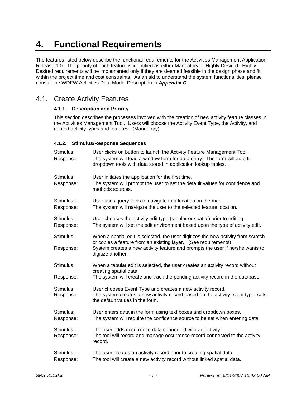# **4. Functional Requirements**

The features listed below describe the functional requirements for the Activities Management Application, Release 1.0. The priority of each feature is identified as either Mandatory or Highly Desired. Highly Desired requirements will be implemented only if they are deemed feasible in the design phase and fit within the project time and cost constraints. As an aid to understand the system functionalities, please consult the WDFW Activities Data Model Description in *Appendix C.*

# 4.1. Create Activity Features

#### **4.1.1. Description and Priority**

This section describes the processes involved with the creation of new activity feature classes in the Activities Management Tool. Users will choose the Activity Event Type, the Activity, and related activity types and features. (Mandatory)

#### **4.1.2. Stimulus/Response Sequences**

| Stimulus:<br>Response: | User clicks on button to launch the Activity Feature Management Tool.<br>The system will load a window form for data entry. The form will auto fill<br>dropdown tools with data stored in application lookup tables.                                      |
|------------------------|-----------------------------------------------------------------------------------------------------------------------------------------------------------------------------------------------------------------------------------------------------------|
| Stimulus:<br>Response: | User initiates the application for the first time.<br>The system will prompt the user to set the default values for confidence and<br>methods sources.                                                                                                    |
| Stimulus:<br>Response: | User uses query tools to navigate to a location on the map.<br>The system will navigate the user to the selected feature location.                                                                                                                        |
| Stimulus:<br>Response: | User chooses the activity edit type (tabular or spatial) prior to editing.<br>The system will set the edit environment based upon the type of activity edit.                                                                                              |
| Stimulus:<br>Response: | When a spatial edit is selected, the user digitizes the new activity from scratch<br>or copies a feature from an existing layer. (See requirements)<br>System creates a new activity feature and prompts the user if he/she wants to<br>digitize another. |
| Stimulus:<br>Response: | When a tabular edit is selected, the user creates an activity record without<br>creating spatial data.<br>The system will create and track the pending activity record in the database.                                                                   |
| Stimulus:<br>Response: | User chooses Event Type and creates a new activity record.<br>The system creates a new activity record based on the activity event type, sets<br>the default values in the form.                                                                          |
| Stimulus:<br>Response: | User enters data in the form using text boxes and dropdown boxes.<br>The system will require the confidence source to be set when entering data.                                                                                                          |
| Stimulus:<br>Response: | The user adds occurrence data connected with an activity.<br>The tool will record and manage occurrence record connected to the activity<br>record.                                                                                                       |
| Stimulus:<br>Response: | The user creates an activity record prior to creating spatial data.<br>The tool will create a new activity record without linked spatial data.                                                                                                            |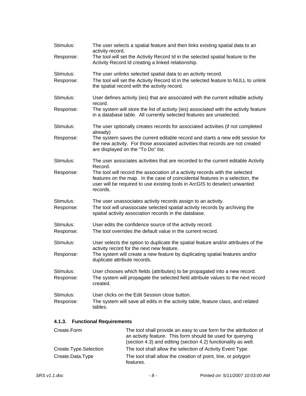| Stimulus:              | The user selects a spatial feature and then links existing spatial data to an<br>activity record.                                                                                                                                                       |
|------------------------|---------------------------------------------------------------------------------------------------------------------------------------------------------------------------------------------------------------------------------------------------------|
| Response:              | The tool will set the Activity Record Id in the selected spatial feature to the<br>Activity Record Id creating a linked relationship.                                                                                                                   |
| Stimulus:<br>Response: | The user unlinks selected spatial data to an activity record.<br>The tool will set the Activity Record Id in the selected feature to NULL to unlink<br>the spatial record with the activity record.                                                     |
| Stimulus:              | User defines activity (ies) that are associated with the current editable activity<br>record.                                                                                                                                                           |
| Response:              | The system will store the list of activity (ies) associated with the activity feature<br>in a database table. All currently selected features are unselected.                                                                                           |
| Stimulus:              | The user optionally creates records for associated activities (if not completed<br>already)                                                                                                                                                             |
| Response:              | The system saves the current editable record and starts a new edit session for<br>the new activity. For those associated activities that records are not created<br>are displayed on the "To Do" list.                                                  |
| Stimulus:              | The user associates activities that are recorded to the current editable Activity<br>Record.                                                                                                                                                            |
| Response:              | The tool will record the association of a activity records with the selected<br>features on the map. In the case of coincidental features in a selection, the<br>user will be required to use existing tools in ArcGIS to deselect unwanted<br>records. |
| Stimulus:<br>Response: | The user unassociates activity records assign to an activity.<br>The tool will unassociate selected spatial activity records by archiving the<br>spatial activity association records in the database.                                                  |
| Stimulus:<br>Response: | User edits the confidence source of the activity record.<br>The tool overrides the default value in the current record.                                                                                                                                 |
| Stimulus:              | User selects the option to duplicate the spatial feature and/or attributes of the                                                                                                                                                                       |
| Response:              | activity record for the next new feature.<br>The system will create a new feature by duplicating spatial features and/or<br>duplicate attribute records.                                                                                                |
| Stimulus:<br>Response: | User chooses which fields (attributes) to be propagated into a new record.<br>The system will propagate the selected field attribute values to the next record<br>created.                                                                              |
| Stimulus:<br>Response: | User clicks on the Edit Session close button.<br>The system will save all edits in the activity table, feature class, and related<br>tables.                                                                                                            |
| 11 2 I                 | Eunational Domiramente                                                                                                                                                                                                                                  |

#### **4.1.3. Functional Requirements**

| Create.Form           | The tool shall provide an easy to use form for the attribution of<br>an activity feature. This form should be used for querying<br>(section 4.3) and editing (section 4.2) functionality as well. |
|-----------------------|---------------------------------------------------------------------------------------------------------------------------------------------------------------------------------------------------|
| Create.Type.Selection | The tool shall allow the selection of Activity Event Type.                                                                                                                                        |
| Create.Data.Type      | The tool shall allow the creation of point, line, or polygon<br>features.                                                                                                                         |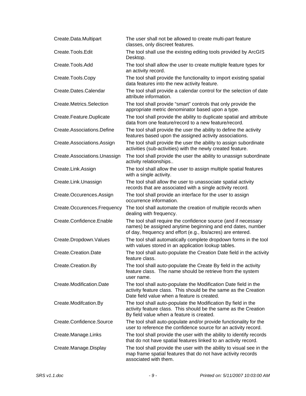| Create.Data.Multipart        | The user shall not be allowed to create multi-part feature<br>classes, only discreet features.                                                                                              |
|------------------------------|---------------------------------------------------------------------------------------------------------------------------------------------------------------------------------------------|
| Create.Tools.Edit            | The tool shall use the existing editing tools provided by ArcGIS<br>Desktop.                                                                                                                |
| Create.Tools.Add             | The tool shall allow the user to create multiple feature types for<br>an activity record.                                                                                                   |
| Create.Tools.Copy            | The tool shall provide the functionality to import existing spatial<br>data features into the new activity feature.                                                                         |
| Create.Dates.Calendar        | The tool shall provide a calendar control for the selection of date<br>attribute information.                                                                                               |
| Create.Metrics.Selection     | The tool shall provide "smart" controls that only provide the<br>appropriate metric denominator based upon a type.                                                                          |
| Create.Feature.Duplicate     | The tool shall provide the ability to duplicate spatial and attribute<br>data from one feature/record to a new feature/record.                                                              |
| Create.Associations.Define   | The tool shall provide the user the ability to define the activity<br>features based upon the assigned activity associations.                                                               |
| Create.Associations.Assign   | The tool shall provide the user the ability to assign subordinate<br>activities (sub-activities) with the newly created feature.                                                            |
| Create.Associations.Unassign | The tool shall provide the user the ability to unassign subordinate<br>activity relationships                                                                                               |
| Create.Link.Assign           | The tool shall allow the user to assign multiple spatial features<br>with a single activity.                                                                                                |
| Create.Link.Unassign         | The tool shall allow the user to unassociate spatial activity<br>records that are associated with a single activity record.                                                                 |
| Create Occurences Assign     | The tool shall provide an interface for the user to assign<br>occurrence information.                                                                                                       |
| Create.Occurences.Frequency  | The tool shall automate the creation of multiple records when<br>dealing with frequency.                                                                                                    |
| Create.Confidence.Enable     | The tool shall require the confidence source (and if necessary<br>names) be assigned anytime beginning and end dates, number<br>of day, frequency and effort (e.g., lbs/acres) are entered. |
| Create.Dropdown.Values       | The tool shall automatically complete dropdown forms in the tool<br>with values stored in an application lookup tables.                                                                     |
| Create.Creation.Date         | The tool shall auto-populate the Creation Date field in the activity<br>feature class.                                                                                                      |
| Create.Creation.By           | The tool shall auto-populate the Create By field in the activity<br>feature class. The name should be retrieve from the system<br>user name.                                                |
| Create.Modification.Date     | The tool shall auto-populate the Modification Date field in the<br>activity feature class. This should be the same as the Creation<br>Date field value when a feature is created.           |
| Create.Modifcation.By        | The tool shall auto-populate the Modification By field in the<br>activity feature class. This should be the same as the Creation<br>By field value when a feature is created.               |
| Create.Confidence.Source     | The tool shall auto-populate and/or provide functionality for the<br>user to reference the confidence source for an activity record.                                                        |
| Create.Manage.Links          | The tool shall provide the user with the ability to identify records<br>that do not have spatial features linked to an activity record.                                                     |
| Create.Manage.Display        | The tool shall provide the user with the ability to visual see in the<br>map frame spatial features that do not have activity records<br>associated with them.                              |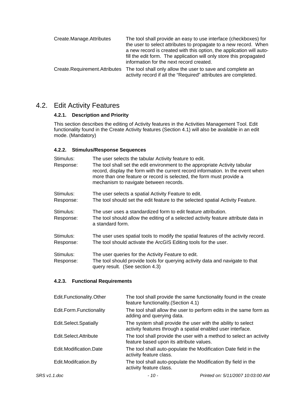| Create.Manage.Attributes      | The tool shall provide an easy to use interface (checkboxes) for<br>the user to select attributes to propagate to a new record. When<br>a new record is created with this option, the application will auto-<br>fill the edit form. The application will only store this propagated<br>information for the next record created. |
|-------------------------------|---------------------------------------------------------------------------------------------------------------------------------------------------------------------------------------------------------------------------------------------------------------------------------------------------------------------------------|
| Create.Requirement.Attributes | The tool shall only allow the user to save and complete an<br>activity record if all the "Required" attributes are completed.                                                                                                                                                                                                   |

# 4.2. Edit Activity Features

#### **4.2.1. Description and Priority**

This section describes the editing of Activity features in the Activities Management Tool. Edit functionality found in the Create Activity features (Section 4.1) will also be available in an edit mode. (Mandatory)

#### **4.2.2. Stimulus/Response Sequences**

| Stimulus:<br>Response: | The user selects the tabular Activity feature to edit.<br>The tool shall set the edit environment to the appropriate Activity tabular<br>record, display the form with the current record information. In the event when<br>more than one feature or record is selected, the form must provide a<br>mechanism to navigate between records. |
|------------------------|--------------------------------------------------------------------------------------------------------------------------------------------------------------------------------------------------------------------------------------------------------------------------------------------------------------------------------------------|
| Stimulus:<br>Response: | The user selects a spatial Activity Feature to edit.<br>The tool should set the edit feature to the selected spatial Activity Feature.                                                                                                                                                                                                     |
| Stimulus:<br>Response: | The user uses a standardized form to edit feature attribution.<br>The tool should allow the editing of a selected activity feature attribute data in<br>a standard form.                                                                                                                                                                   |
| Stimulus:<br>Response: | The user uses spatial tools to modify the spatial features of the activity record.<br>The tool should activate the ArcGIS Editing tools for the user.                                                                                                                                                                                      |
| Stimulus:<br>Response: | The user queries for the Activity Feature to edit.<br>The tool should provide tools for querying activity data and navigate to that<br>query result. (See section 4.3)                                                                                                                                                                     |

#### **4.2.3. Functional Requirements**

| Edit.Functionality.Other | The tool shall provide the same functionality found in the create<br>feature functionality. (Section 4.1)                   |
|--------------------------|-----------------------------------------------------------------------------------------------------------------------------|
| Edit.Form.Functionality  | The tool shall allow the user to perform edits in the same form as<br>adding and querying data.                             |
| Edit.Select.Spatially    | The system shall provide the user with the ability to select<br>activity features through a spatial enabled user interface. |
| Edit.Select.Attribute    | The tool shall provide the user with a method to select an activity<br>feature based upon its attribute values.             |
| Edit.Modification.Date   | The tool shall auto-populate the Modification Date field in the<br>activity feature class.                                  |
| Edit.Modifcation.By      | The tool shall auto-populate the Modification By field in the<br>activity feature class.                                    |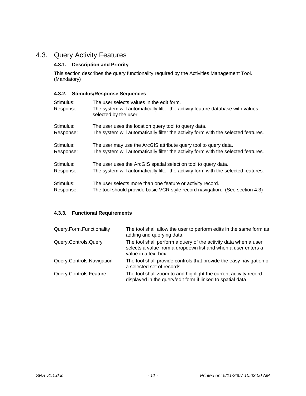# 4.3. Query Activity Features

### **4.3.1. Description and Priority**

This section describes the query functionality required by the Activities Management Tool. (Mandatory)

#### **4.3.2. Stimulus/Response Sequences**

| Stimulus:<br>Response: | The user selects values in the edit form.<br>The system will automatically filter the activity feature database with values<br>selected by the user. |
|------------------------|------------------------------------------------------------------------------------------------------------------------------------------------------|
| Stimulus:              | The user uses the location query tool to query data.                                                                                                 |
| Response:              | The system will automatically filter the activity form with the selected features.                                                                   |
| Stimulus:              | The user may use the ArcGIS attribute query tool to query data.                                                                                      |
| Response:              | The system will automatically filter the activity form with the selected features.                                                                   |
| Stimulus:              | The user uses the ArcGIS spatial selection tool to query data.                                                                                       |
| Response:              | The system will automatically filter the activity form with the selected features.                                                                   |
| Stimulus:              | The user selects more than one feature or activity record.                                                                                           |
| Response:              | The tool should provide basic VCR style record navigation. (See section 4.3)                                                                         |

### **4.3.3. Functional Requirements**

| Query.Form.Functionality  | The tool shall allow the user to perform edits in the same form as<br>adding and querying data.                                                          |
|---------------------------|----------------------------------------------------------------------------------------------------------------------------------------------------------|
| Query.Controls.Query      | The tool shall perform a query of the activity data when a user<br>selects a value from a dropdown list and when a user enters a<br>value in a text box. |
| Query.Controls.Navigation | The tool shall provide controls that provide the easy navigation of<br>a selected set of records.                                                        |
| Query.Controls.Feature    | The tool shall zoom to and highlight the current activity record<br>displayed in the query/edit form if linked to spatial data.                          |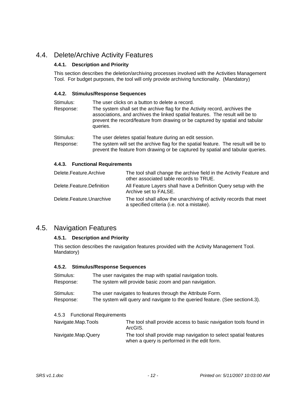# 4.4. Delete/Archive Activity Features

#### **4.4.1. Description and Priority**

This section describes the deletion/archiving processes involved with the Activities Management Tool. For budget purposes, the tool will only provide archiving functionality. (Mandatory)

#### **4.4.2. Stimulus/Response Sequences**

| Stimulus: | The user clicks on a button to delete a record.                                                                                                                                                                                                           |
|-----------|-----------------------------------------------------------------------------------------------------------------------------------------------------------------------------------------------------------------------------------------------------------|
| Response: | The system shall set the archive flag for the Activity record, archives the<br>associations, and archives the linked spatial features. The result will be to<br>prevent the record/feature from drawing or be captured by spatial and tabular<br>queries. |

Stimulus: The user deletes spatial feature during an edit session. Response: The system will set the archive flag for the spatial feature. The result will be to prevent the feature from drawing or be captured by spatial and tabular queries.

#### **4.4.3. Functional Requirements**

| Delete.Feature.Archive    | The tool shall change the archive field in the Activity Feature and<br>other associated table records to TRUE.   |
|---------------------------|------------------------------------------------------------------------------------------------------------------|
| Delete.Feature.Definition | All Feature Layers shall have a Definition Query setup with the<br>Archive set to FALSE.                         |
| Delete.Feature.Unarchive  | The tool shall allow the unarchiving of activity records that meet<br>a specified criteria (i.e. not a mistake). |

### 4.5. Navigation Features

#### **4.5.1. Description and Priority**

This section describes the navigation features provided with the Activity Management Tool. Mandatory)

#### **4.5.2. Stimulus/Response Sequences**

| Stimulus: | The user navigates the map with spatial navigation tools.                     |
|-----------|-------------------------------------------------------------------------------|
| Response: | The system will provide basic zoom and pan navigation.                        |
| Stimulus: | The user navigates to features through the Attribute Form.                    |
| Response: | The system will query and navigate to the queried feature. (See section 4.3). |

#### 4.5.3 Functional Requirements

| Navigate.Map.Tools | The tool shall provide access to basic navigation tools found in<br>ArcGIS.                                     |
|--------------------|-----------------------------------------------------------------------------------------------------------------|
| Navigate.Map.Query | The tool shall provide map navigation to select spatial features<br>when a query is performed in the edit form. |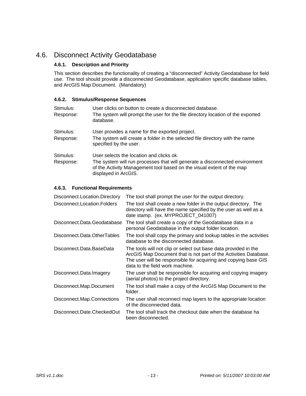# 4.6. Disconnect Activity Geodatabase

#### **4.6.1. Description and Priority**

This section describes the functionality of creating a "disconnected" Activity Geodatabase for field use. The tool should provide a disconnected Geodatabase, application specific database tables, and ArcGIS Map Document. (Mandatory)

#### **4.6.2. Stimulus/Response Sequences**

| Stimulus:<br>Response: | User clicks on button to create a disconnected database.<br>The system will prompt the user for the file directory location of the exported<br>database.                                                                 |
|------------------------|--------------------------------------------------------------------------------------------------------------------------------------------------------------------------------------------------------------------------|
| Stimulus:<br>Response: | User provides a name for the exported project.<br>The system will create a folder in the selected file directory with the name<br>specified by the user.                                                                 |
| Stimulus:<br>Response: | User selects the location and clicks ok.<br>The system will run processes that will generate a disconnected environment<br>of the Activity Management tool based on the visual extent of the map<br>displayed in ArcGIS. |

#### **4.6.3. Functional Requirements**

| Disconnect.Location.Directory | The tool shall prompt the user for the output directory.                                                                                                                                                                                  |
|-------------------------------|-------------------------------------------------------------------------------------------------------------------------------------------------------------------------------------------------------------------------------------------|
| Disconnect Location Folders   | The tool shall create a new folder in the output directory. The<br>directory will have the name specified by the user as well as a<br>date stamp. (ex. MYPROJECT_041007)                                                                  |
| Disconnect.Data.Geodatabase   | The tool shall create a copy of the Geodatabase data in a<br>personal Geodatabase in the output folder location.                                                                                                                          |
| Disconnect.Data.OtherTables   | The tool shall copy the primary and lookup tables in the activities<br>database to the disconnected database.                                                                                                                             |
| Disconnect.Data.BaseData      | The tools will not clip or select out base data provided in the<br>ArcGIS Map Document that is not part of the Activities Database.<br>The user will be responsible for acquiring and copying base GIS<br>data to the field work machine. |
| Disconnect.Data.Imagery       | The user shall be responsible for acquiring and copying imagery<br>(aerial photos) to the project directory.                                                                                                                              |
| Disconnect.Map.Document       | The tool shall make a copy of the ArcGIS Map Document to the<br>folder.                                                                                                                                                                   |
| Disconnect.Map.Connections    | The user shall reconnect map layers to the appropriate location<br>of the disconnected data.                                                                                                                                              |
| Disconnect.Date.CheckedOut    | The tool shall track the checkout date when the database ha<br>been disconnected.                                                                                                                                                         |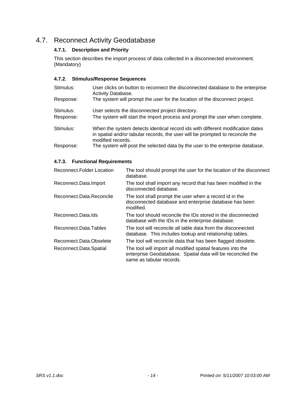# 4.7. Reconnect Activity Geodatabase

### **4.7.1. Description and Priority**

This section describes the import process of data collected in a disconnected environment. (Mandatory)

#### **4.7.2. Stimulus/Response Sequences**

| Stimulus: | User clicks on button to reconnect the disconnected database to the enterprise<br><b>Activity Database.</b>                                                                          |
|-----------|--------------------------------------------------------------------------------------------------------------------------------------------------------------------------------------|
| Response: | The system will prompt the user for the location of the disconnect project.                                                                                                          |
| Stimulus: | User selects the disconnected project directory.                                                                                                                                     |
| Response: | The system will start the import process and prompt the user when complete.                                                                                                          |
| Stimulus: | When the system detects identical record ids with different modification dates<br>in spatial and/or tabular records, the user will be prompted to reconcile the<br>modified records. |
| Response: | The system will post the selected data by the user to the enterprise database.                                                                                                       |

#### **4.7.3. Functional Requirements**

| Reconnect.Folder.Location | The tool should prompt the user for the location of the disconnect<br>database.                                                                        |
|---------------------------|--------------------------------------------------------------------------------------------------------------------------------------------------------|
| Reconnect.Data.Import     | The tool shall import any record that has been modified in the<br>disconnected database.                                                               |
| Reconnect.Data.Reconcile  | The tool shall prompt the user when a record id in the<br>disconnected database and enterprise database has been<br>modified.                          |
| Reconnect.Data.Ids        | The tool should reconcile the IDs stored in the disconnected<br>database with the IDs in the enterprise database.                                      |
| Reconnect.Data.Tables     | The tool will reconcile all table data from the disconnected<br>database. This includes lookup and relationship tables.                                |
| Reconnect.Data.Obselete   | The tool will reconcile data that has been flagged obsolete.                                                                                           |
| Reconnect.Data.Spatial    | The tool will import all modified spatial features into the<br>enterprise Geodatabase. Spatial data will be reconciled the<br>same as tabular records. |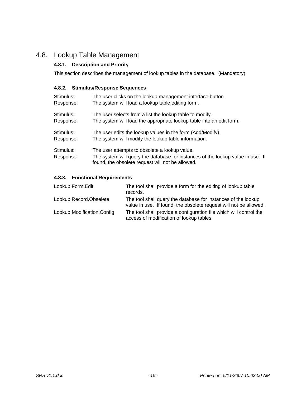# 4.8. Lookup Table Management

### **4.8.1. Description and Priority**

This section describes the management of lookup tables in the database. (Mandatory)

#### **4.8.2. Stimulus/Response Sequences**

| Stimulus:              | The user clicks on the lookup management interface button.                                                                                                                           |
|------------------------|--------------------------------------------------------------------------------------------------------------------------------------------------------------------------------------|
| Response:              | The system will load a lookup table editing form.                                                                                                                                    |
| Stimulus:              | The user selects from a list the lookup table to modify.                                                                                                                             |
| Response:              | The system will load the appropriate lookup table into an edit form.                                                                                                                 |
| Stimulus:              | The user edits the lookup values in the form (Add/Modify).                                                                                                                           |
| Response:              | The system will modify the lookup table information.                                                                                                                                 |
| Stimulus:<br>Response: | The user attempts to obsolete a lookup value.<br>The system will query the database for instances of the lookup value in use. If<br>found, the obsolete request will not be allowed. |

### **4.8.3. Functional Requirements**

| Lookup.Form.Edit           | The tool shall provide a form for the editing of lookup table<br>records.                                                          |
|----------------------------|------------------------------------------------------------------------------------------------------------------------------------|
| Lookup.Record.Obselete     | The tool shall query the database for instances of the lookup<br>value in use. If found, the obsolete request will not be allowed. |
| Lookup.Modification.Config | The tool shall provide a configuration file which will control the<br>access of modification of lookup tables.                     |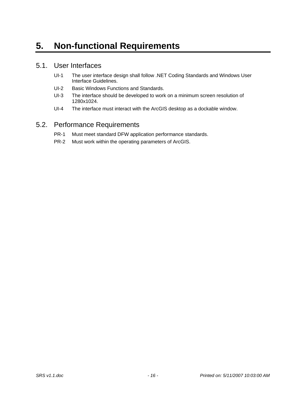# **5. Non-functional Requirements**

### 5.1. User Interfaces

- UI-1 The user interface design shall follow .NET Coding Standards and Windows User Interface Guidelines.
- UI-2 Basic Windows Functions and Standards.
- UI-3 The interface should be developed to work on a minimum screen resolution of 1280x1024.
- UI-4 The interface must interact with the ArcGIS desktop as a dockable window.

# 5.2. Performance Requirements

- PR-1 Must meet standard DFW application performance standards.
- PR-2 Must work within the operating parameters of ArcGIS.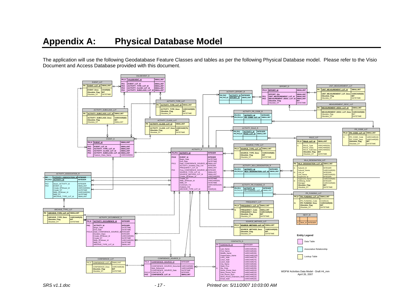The application will use the following Geodatabase Feature Classes and tables as per the following Physical Database model. Please refer to the Visio Document and Access Database provided with this document.



*SRS v1.1.doc - 17 - Printed on: 5/11/2007 10:03:00 AM*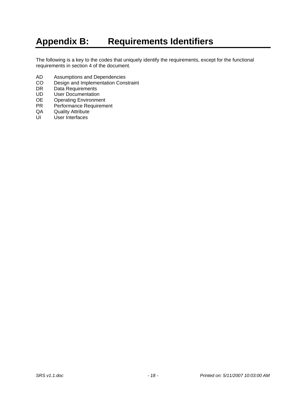# **Appendix B: Requirements Identifiers**

The following is a key to the codes that uniquely identify the requirements, except for the functional requirements in section 4 of the document.

- AD Assumptions and Dependencies
- CO Design and Implementation Constraint<br>DR Data Requirements
- DR Data Requirements<br>
UD User Documentation
- User Documentation
- OE Operating Environment
- PR Performance Requirement<br>QA Quality Attribute
- Quality Attribute
- UI User Interfaces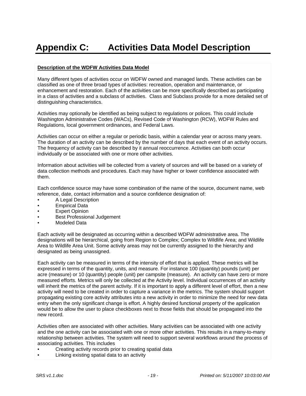# **Appendix C: Activities Data Model Description**

#### **Description of the WDFW Activities Data Model**

Many different types of activities occur on WDFW owned and managed lands. These activities can be classified as one of three broad types of activities: recreation, operation and maintenance, or enhancement and restoration. Each of the activities can be more specifically described as participating in a class of activities and a subclass of activities. Class and Subclass provide for a more detailed set of distinguishing characteristics.

Activities may optionally be identified as being subject to regulations or polices. This could include Washington Administrative Codes (WACs), Revised Code of Washington (RCW), WDFW Rules and Regulations, local government ordinances, and Federal Laws.

Activities can occur on either a regular or periodic basis, within a calendar year or across many years. The duration of an activity can be described by the number of days that each event of an activity occurs. The frequency of activity can be described by it annual reoccurrence. Activities can both occur individually or be associated with one or more other activities.

Information about activities will be collected from a variety of sources and will be based on a variety of data collection methods and procedures. Each may have higher or lower confidence associated with them.

Each confidence source may have some combination of the name of the source, document name, web reference, date, contact information and a source confidence designation of:

- A Legal Description
- **Empirical Data**
- **Expert Opinion**
- **Best Professional Judgement**
- Modeled Data

Each activity will be designated as occurring within a described WDFW administrative area. The designations will be hierarchical, going from Region to Complex; Complex to Wildlife Area; and Wildlife Area to Wildlife Area Unit. Some activity areas may not be currently assigned to the hierarchy and designated as being unassigned.

Each activity can be measured in terms of the intensity of effort that is applied. These metrics will be expressed in terms of the quantity, units, and measure. For instance 100 (quantity) pounds (unit) per acre (measure) or 10 (quantity) people (unit) per campsite (measure). An activity can have zero or more measured efforts. Metrics will only be collected at the Activity level. Individual occurrences of an activity will inherit the metrics of the parent activity. If it is important to apply a different level of effort, then a new activity will need to be created in order to capture a variance in the metrics. The system should support propagating existing core activity attributes into a new activity in order to minimize the need for new data entry when the only significant change is effort. A highly desired functional property of the application would be to allow the user to place checkboxes next to those fields that should be propagated into the new record.

Activities often are associated with other activities. Many activities can be associated with one activity and the one activity can be associated with one or more other activities. This results in a many-to-many relationship between activities. The system will need to support several workflows around the process of associating activities. This includes

- Creating activity records prior to creating spatial data
- Linking existing spatial data to an activity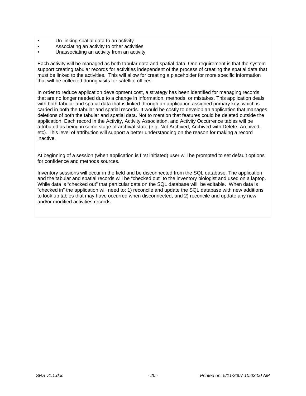- Un-linking spatial data to an activity
- Associating an activity to other activities
- Unassociating an activity from an activity

Each activity will be managed as both tabular data and spatial data. One requirement is that the system support creating tabular records for activities independent of the process of creating the spatial data that must be linked to the activities. This will allow for creating a placeholder for more specific information that will be collected during visits for satellite offices.

In order to reduce application development cost, a strategy has been identified for managing records that are no longer needed due to a change in information, methods, or mistakes. This application deals with both tabular and spatial data that is linked through an application assigned primary key, which is carried in both the tabular and spatial records. It would be costly to develop an application that manages deletions of both the tabular and spatial data. Not to mention that features could be deleted outside the application. Each record in the Activity, Activity Association, and Activity Occurrence tables will be attributed as being in some stage of archival state (e.g. Not Archived, Archived with Delete, Archived, etc). This level of attribution will support a better understanding on the reason for making a record inactive.

At beginning of a session (when application is first initiated) user will be prompted to set default options for confidence and methods sources.

Inventory sessions will occur in the field and be disconnected from the SQL database. The application and the tabular and spatial records will be "checked out" to the inventory biologist and used on a laptop. While data is "checked out" that particular data on the SQL database will be editable. When data is "checked in" the application will need to: 1) reconcile and update the SQL database with new additions to look up tables that may have occurred when disconnected, and 2) reconcile and update any new and/or modified activities records.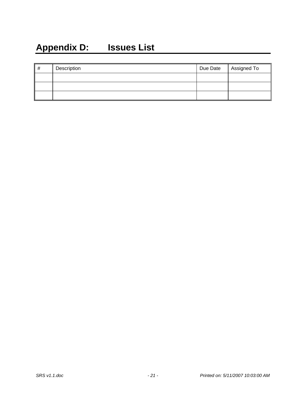# **Appendix D: Issues List**

| # | Description | Due Date   Assigned To |
|---|-------------|------------------------|
|   |             |                        |
|   |             |                        |
|   |             |                        |